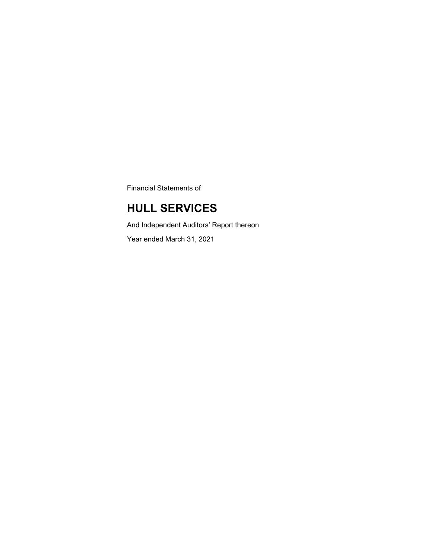Financial Statements of

## **HULL SERVICES**

And Independent Auditors' Report thereon Year ended March 31, 2021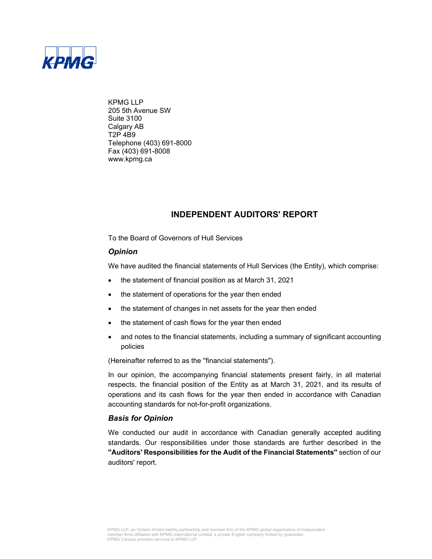

KPMG LLP 205 5th Avenue SW Suite 3100 Calgary AB T2P 4B9 Telephone (403) 691-8000 Fax (403) 691-8008 www.kpmg.ca

### **INDEPENDENT AUDITORS' REPORT**

To the Board of Governors of Hull Services

### *Opinion*

We have audited the financial statements of Hull Services (the Entity), which comprise:

- the statement of financial position as at March 31, 2021
- the statement of operations for the year then ended
- the statement of changes in net assets for the year then ended
- the statement of cash flows for the year then ended
- and notes to the financial statements, including a summary of significant accounting policies

(Hereinafter referred to as the ''financial statements'').

In our opinion, the accompanying financial statements present fairly, in all material respects, the financial position of the Entity as at March 31, 2021, and its results of operations and its cash flows for the year then ended in accordance with Canadian accounting standards for not-for-profit organizations.

### *Basis for Opinion*

We conducted our audit in accordance with Canadian generally accepted auditing standards. Our responsibilities under those standards are further described in the **''Auditors' Responsibilities for the Audit of the Financial Statements''** section of our auditors' report.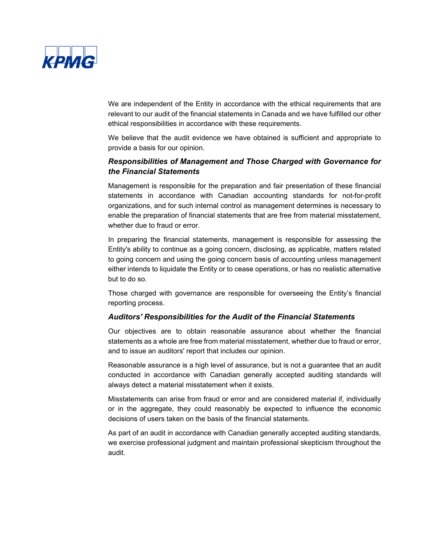

We are independent of the Entity in accordance with the ethical requirements that are relevant to our audit of the financial statements in Canada and we have fulfilled our other ethical responsibilities in accordance with these requirements.

We believe that the audit evidence we have obtained is sufficient and appropriate to provide a basis for our opinion.

### *Responsibilities of Management and Those Charged with Governance for the Financial Statements*

Management is responsible for the preparation and fair presentation of these financial statements in accordance with Canadian accounting standards for not-for-profit organizations, and for such internal control as management determines is necessary to enable the preparation of financial statements that are free from material misstatement, whether due to fraud or error.

In preparing the financial statements, management is responsible for assessing the Entity's ability to continue as a going concern, disclosing, as applicable, matters related to going concern and using the going concern basis of accounting unless management either intends to liquidate the Entity or to cease operations, or has no realistic alternative but to do so.

Those charged with governance are responsible for overseeing the Entity's financial reporting process.

### *Auditors' Responsibilities for the Audit of the Financial Statements*

Our objectives are to obtain reasonable assurance about whether the financial statements as a whole are free from material misstatement, whether due to fraud or error, and to issue an auditors' report that includes our opinion.

Reasonable assurance is a high level of assurance, but is not a guarantee that an audit conducted in accordance with Canadian generally accepted auditing standards will always detect a material misstatement when it exists.

Misstatements can arise from fraud or error and are considered material if, individually or in the aggregate, they could reasonably be expected to influence the economic decisions of users taken on the basis of the financial statements.

As part of an audit in accordance with Canadian generally accepted auditing standards, we exercise professional judgment and maintain professional skepticism throughout the audit.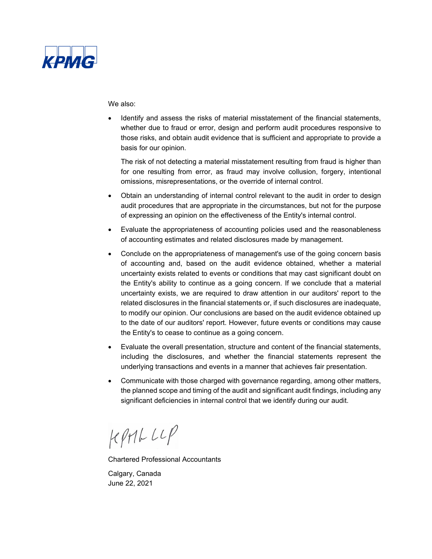

We also:

 Identify and assess the risks of material misstatement of the financial statements, whether due to fraud or error, design and perform audit procedures responsive to those risks, and obtain audit evidence that is sufficient and appropriate to provide a basis for our opinion.

The risk of not detecting a material misstatement resulting from fraud is higher than for one resulting from error, as fraud may involve collusion, forgery, intentional omissions, misrepresentations, or the override of internal control.

- Obtain an understanding of internal control relevant to the audit in order to design audit procedures that are appropriate in the circumstances, but not for the purpose of expressing an opinion on the effectiveness of the Entity's internal control.
- Evaluate the appropriateness of accounting policies used and the reasonableness of accounting estimates and related disclosures made by management.
- Conclude on the appropriateness of management's use of the going concern basis of accounting and, based on the audit evidence obtained, whether a material uncertainty exists related to events or conditions that may cast significant doubt on the Entity's ability to continue as a going concern. If we conclude that a material uncertainty exists, we are required to draw attention in our auditors' report to the related disclosures in the financial statements or, if such disclosures are inadequate, to modify our opinion. Our conclusions are based on the audit evidence obtained up to the date of our auditors' report. However, future events or conditions may cause the Entity's to cease to continue as a going concern.
- Evaluate the overall presentation, structure and content of the financial statements, including the disclosures, and whether the financial statements represent the underlying transactions and events in a manner that achieves fair presentation.
- Communicate with those charged with governance regarding, among other matters, the planned scope and timing of the audit and significant audit findings, including any significant deficiencies in internal control that we identify during our audit.

 $KPHLLIP$ 

Chartered Professional Accountants

Calgary, Canada June 22, 2021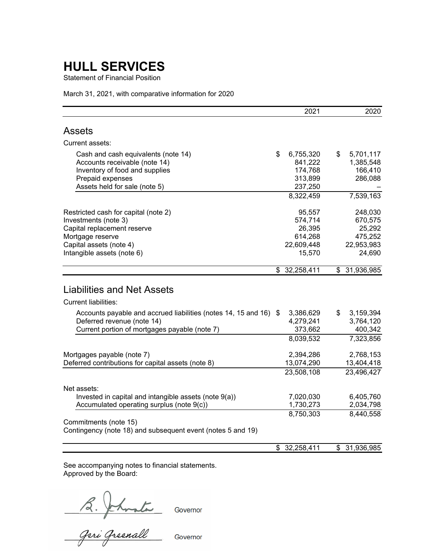Statement of Financial Position

March 31, 2021, with comparative information for 2020

|                                                                                                                                                                          | 2021                                                           | 2020                                                            |
|--------------------------------------------------------------------------------------------------------------------------------------------------------------------------|----------------------------------------------------------------|-----------------------------------------------------------------|
| <b>Assets</b>                                                                                                                                                            |                                                                |                                                                 |
| Current assets:                                                                                                                                                          |                                                                |                                                                 |
| Cash and cash equivalents (note 14)<br>Accounts receivable (note 14)<br>Inventory of food and supplies<br>Prepaid expenses<br>Assets held for sale (note 5)              | \$<br>6,755,320<br>841,222<br>174,768<br>313,899<br>237,250    | \$<br>5,701,117<br>1,385,548<br>166,410<br>286,088              |
|                                                                                                                                                                          | 8,322,459                                                      | 7,539,163                                                       |
| Restricted cash for capital (note 2)<br>Investments (note 3)<br>Capital replacement reserve<br>Mortgage reserve<br>Capital assets (note 4)<br>Intangible assets (note 6) | 95,557<br>574,714<br>26,395<br>614,268<br>22,609,448<br>15,570 | 248,030<br>670,575<br>25,292<br>475,252<br>22,953,983<br>24,690 |
|                                                                                                                                                                          | \$32,258,411                                                   | \$31,936,985                                                    |
| <b>Liabilities and Net Assets</b><br><b>Current liabilities:</b>                                                                                                         |                                                                |                                                                 |
| Accounts payable and accrued liabilities (notes 14, 15 and 16) \$<br>Deferred revenue (note 14)<br>Current portion of mortgages payable (note 7)                         | 3,386,629<br>4,279,241<br>373,662<br>8,039,532                 | \$<br>3,159,394<br>3,764,120<br>400,342<br>7,323,856            |
| Mortgages payable (note 7)<br>Deferred contributions for capital assets (note 8)                                                                                         | 2,394,286<br>13,074,290<br>23,508,108                          | 2,768,153<br>13,404,418<br>23,496,427                           |
| Net assets:<br>Invested in capital and intangible assets (note 9(a))<br>Accumulated operating surplus (note 9(c))                                                        | 7,020,030<br>1,730,273                                         | 6,405,760<br>2,034,798                                          |
| Commitments (note 15)<br>Contingency (note 18) and subsequent event (notes 5 and 19)                                                                                     | 8,750,303                                                      | 8,440,558                                                       |
|                                                                                                                                                                          | \$<br>32,258,411                                               | \$<br>31,936,985                                                |

See accompanying notes to financial statements. Approved by the Board:

B. Johnata Governor<br>Geri Greenall Governor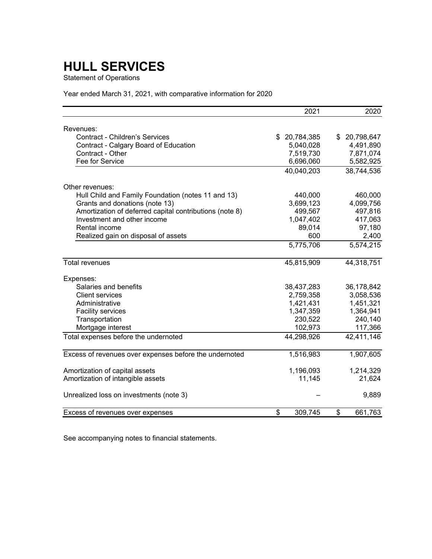Statement of Operations

Year ended March 31, 2021, with comparative information for 2020

|                                                         | 2021             | 2020             |
|---------------------------------------------------------|------------------|------------------|
| Revenues:                                               |                  |                  |
| <b>Contract - Children's Services</b>                   | 20,784,385<br>\$ | 20,798,647<br>\$ |
| Contract - Calgary Board of Education                   | 5,040,028        | 4,491,890        |
| Contract - Other                                        | 7,519,730        | 7,871,074        |
| Fee for Service                                         | 6,696,060        | 5,582,925        |
|                                                         | 40,040,203       | 38,744,536       |
| Other revenues:                                         |                  |                  |
| Hull Child and Family Foundation (notes 11 and 13)      | 440,000          | 460,000          |
| Grants and donations (note 13)                          | 3,699,123        | 4,099,756        |
| Amortization of deferred capital contributions (note 8) | 499,567          | 497,816          |
| Investment and other income                             | 1,047,402        | 417,063          |
| Rental income                                           | 89,014           | 97,180           |
| Realized gain on disposal of assets                     | 600              | 2,400            |
|                                                         | 5,775,706        | 5,574,215        |
| <b>Total revenues</b>                                   | 45,815,909       | 44,318,751       |
| Expenses:                                               |                  |                  |
| Salaries and benefits                                   | 38,437,283       | 36,178,842       |
| <b>Client services</b>                                  | 2,759,358        | 3,058,536        |
| Administrative                                          | 1,421,431        | 1,451,321        |
| <b>Facility services</b>                                | 1,347,359        | 1,364,941        |
| Transportation                                          | 230,522          | 240,140          |
| Mortgage interest                                       | 102,973          | 117,366          |
| Total expenses before the undernoted                    | 44,298,926       | 42,411,146       |
| Excess of revenues over expenses before the undernoted  | 1,516,983        | 1,907,605        |
| Amortization of capital assets                          | 1,196,093        | 1,214,329        |
| Amortization of intangible assets                       | 11,145           | 21,624           |
| Unrealized loss on investments (note 3)                 |                  | 9,889            |
| Excess of revenues over expenses                        | \$<br>309,745    | \$<br>661,763    |

See accompanying notes to financial statements.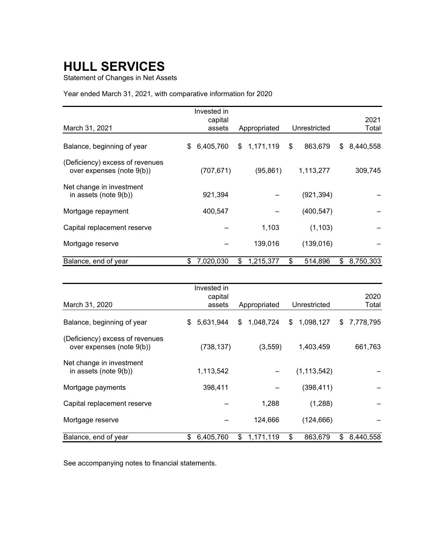Statement of Changes in Net Assets

Year ended March 31, 2021, with comparative information for 2020

|                                                              | Invested in<br>capital |                 |               | 2021            |
|--------------------------------------------------------------|------------------------|-----------------|---------------|-----------------|
| March 31, 2021                                               | assets                 | Appropriated    | Unrestricted  | Total           |
| Balance, beginning of year                                   | \$<br>6,405,760        | \$<br>1,171,119 | \$<br>863,679 | \$<br>8,440,558 |
| (Deficiency) excess of revenues<br>over expenses (note 9(b)) | (707, 671)             | (95, 861)       | 1,113,277     | 309,745         |
| Net change in investment<br>in assets (note 9(b))            | 921,394                |                 | (921, 394)    |                 |
| Mortgage repayment                                           | 400,547                |                 | (400, 547)    |                 |
| Capital replacement reserve                                  |                        | 1,103           | (1, 103)      |                 |
| Mortgage reserve                                             |                        | 139,016         | (139, 016)    |                 |
| Balance, end of year                                         | \$<br>7,020,030        | \$<br>1,215,377 | \$<br>514,896 | \$<br>8,750,303 |

|                                                              |     | Invested in<br>capital |                 |                 |    | 2020      |
|--------------------------------------------------------------|-----|------------------------|-----------------|-----------------|----|-----------|
| March 31, 2020                                               |     | assets                 | Appropriated    | Unrestricted    |    | Total     |
| Balance, beginning of year                                   | \$. | 5,631,944              | \$<br>1,048,724 | \$<br>1,098,127 | S. | 7,778,795 |
| (Deficiency) excess of revenues<br>over expenses (note 9(b)) |     | (738, 137)             | (3,559)         | 1,403,459       |    | 661,763   |
| Net change in investment<br>in assets (note $9(b)$ )         |     | 1,113,542              |                 | (1, 113, 542)   |    |           |
| Mortgage payments                                            |     | 398,411                |                 | (398, 411)      |    |           |
| Capital replacement reserve                                  |     |                        | 1,288           | (1,288)         |    |           |
| Mortgage reserve                                             |     |                        | 124,666         | (124, 666)      |    |           |
| Balance, end of year                                         | \$  | 6,405,760              | \$<br>1,171,119 | \$<br>863,679   | \$ | 8,440,558 |

See accompanying notes to financial statements.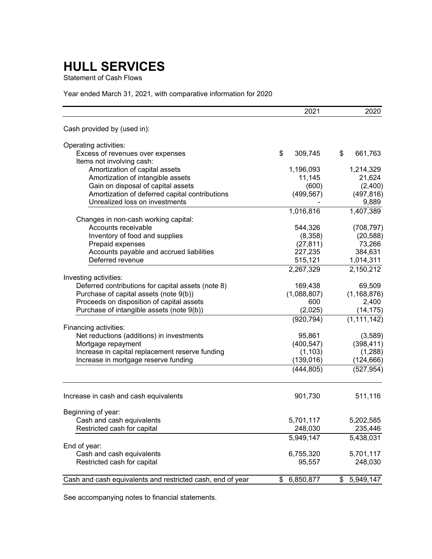Statement of Cash Flows

Year ended March 31, 2021, with comparative information for 2020

|                                                            | 2021          | 2020          |
|------------------------------------------------------------|---------------|---------------|
| Cash provided by (used in):                                |               |               |
| Operating activities:                                      |               |               |
| Excess of revenues over expenses                           | \$<br>309,745 | \$<br>661,763 |
| Items not involving cash:                                  |               |               |
| Amortization of capital assets                             | 1,196,093     | 1,214,329     |
| Amortization of intangible assets                          | 11,145        | 21,624        |
| Gain on disposal of capital assets                         | (600)         | (2,400)       |
| Amortization of deferred capital contributions             | (499, 567)    | (497, 816)    |
| Unrealized loss on investments                             |               | 9,889         |
|                                                            | 1,016,816     | 1,407,389     |
| Changes in non-cash working capital:                       |               |               |
| Accounts receivable                                        | 544,326       | (708, 797)    |
| Inventory of food and supplies                             | (8,358)       | (20, 588)     |
| Prepaid expenses                                           | (27, 811)     | 73,266        |
| Accounts payable and accrued liabilities                   | 227,235       | 384,631       |
| Deferred revenue                                           | 515,121       | 1,014,311     |
|                                                            | 2,267,329     | 2,150,212     |
| Investing activities:                                      |               |               |
| Deferred contributions for capital assets (note 8)         | 169,438       | 69,509        |
| Purchase of capital assets (note 9(b))                     | (1,088,807)   | (1, 168, 876) |
| Proceeds on disposition of capital assets                  | 600           | 2,400         |
| Purchase of intangible assets (note 9(b))                  | (2,025)       | (14, 175)     |
|                                                            | (920, 794)    | (1, 111, 142) |
| Financing activities:                                      |               |               |
| Net reductions (additions) in investments                  | 95,861        | (3,589)       |
| Mortgage repayment                                         | (400, 547)    | (398, 411)    |
| Increase in capital replacement reserve funding            | (1, 103)      | (1,288)       |
| Increase in mortgage reserve funding                       | (139, 016)    | (124, 666)    |
|                                                            | (444, 805)    | (527, 954)    |
| Increase in cash and cash equivalents                      | 901,730       | 511,116       |
| Beginning of year:                                         |               |               |
| Cash and cash equivalents                                  | 5,701,117     | 5,202,585     |
| Restricted cash for capital                                | 248,030       | 235,446       |
|                                                            | 5,949,147     | 5,438,031     |
| End of year:                                               |               |               |
| Cash and cash equivalents                                  | 6,755,320     | 5,701,117     |
| Restricted cash for capital                                | 95,557        | 248,030       |
|                                                            |               |               |
| Cash and cash equivalents and restricted cash, end of year | \$6,850,877   | \$5,949,147   |

See accompanying notes to financial statements.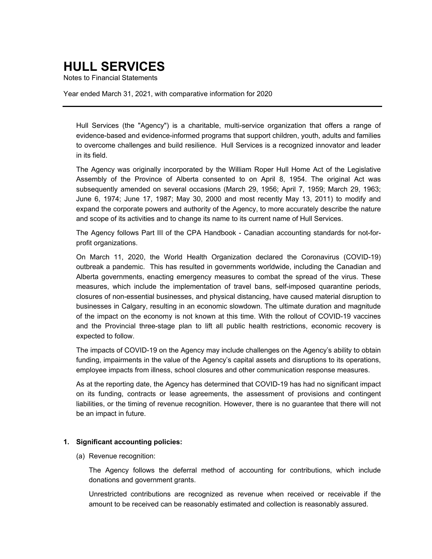Notes to Financial Statements

Year ended March 31, 2021, with comparative information for 2020

Hull Services (the "Agency") is a charitable, multi-service organization that offers a range of evidence-based and evidence-informed programs that support children, youth, adults and families to overcome challenges and build resilience. Hull Services is a recognized innovator and leader in its field.

The Agency was originally incorporated by the William Roper Hull Home Act of the Legislative Assembly of the Province of Alberta consented to on April 8, 1954. The original Act was subsequently amended on several occasions (March 29, 1956; April 7, 1959; March 29, 1963; June 6, 1974; June 17, 1987; May 30, 2000 and most recently May 13, 2011) to modify and expand the corporate powers and authority of the Agency, to more accurately describe the nature and scope of its activities and to change its name to its current name of Hull Services.

The Agency follows Part III of the CPA Handbook - Canadian accounting standards for not-forprofit organizations.

On March 11, 2020, the World Health Organization declared the Coronavirus (COVID-19) outbreak a pandemic. This has resulted in governments worldwide, including the Canadian and Alberta governments, enacting emergency measures to combat the spread of the virus. These measures, which include the implementation of travel bans, self-imposed quarantine periods, closures of non-essential businesses, and physical distancing, have caused material disruption to businesses in Calgary, resulting in an economic slowdown. The ultimate duration and magnitude of the impact on the economy is not known at this time. With the rollout of COVID-19 vaccines and the Provincial three-stage plan to lift all public health restrictions, economic recovery is expected to follow.

The impacts of COVID-19 on the Agency may include challenges on the Agency's ability to obtain funding, impairments in the value of the Agency's capital assets and disruptions to its operations, employee impacts from illness, school closures and other communication response measures.

As at the reporting date, the Agency has determined that COVID-19 has had no significant impact on its funding, contracts or lease agreements, the assessment of provisions and contingent liabilities, or the timing of revenue recognition. However, there is no guarantee that there will not be an impact in future.

### **1. Significant accounting policies:**

(a) Revenue recognition:

The Agency follows the deferral method of accounting for contributions, which include donations and government grants.

Unrestricted contributions are recognized as revenue when received or receivable if the amount to be received can be reasonably estimated and collection is reasonably assured.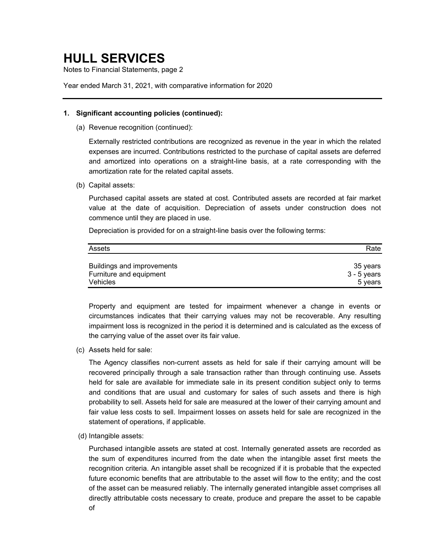Notes to Financial Statements, page 2

Year ended March 31, 2021, with comparative information for 2020

### **1. Significant accounting policies (continued):**

(a) Revenue recognition (continued):

Externally restricted contributions are recognized as revenue in the year in which the related expenses are incurred. Contributions restricted to the purchase of capital assets are deferred and amortized into operations on a straight-line basis, at a rate corresponding with the amortization rate for the related capital assets.

(b) Capital assets:

Purchased capital assets are stated at cost. Contributed assets are recorded at fair market value at the date of acquisition. Depreciation of assets under construction does not commence until they are placed in use.

Depreciation is provided for on a straight-line basis over the following terms:

| Assets                     | Rate        |
|----------------------------|-------------|
| Buildings and improvements | 35 vears    |
| Furniture and equipment    | 3 - 5 years |
| Vehicles                   | 5 years     |

Property and equipment are tested for impairment whenever a change in events or circumstances indicates that their carrying values may not be recoverable. Any resulting impairment loss is recognized in the period it is determined and is calculated as the excess of the carrying value of the asset over its fair value.

(c) Assets held for sale:

The Agency classifies non-current assets as held for sale if their carrying amount will be recovered principally through a sale transaction rather than through continuing use. Assets held for sale are available for immediate sale in its present condition subject only to terms and conditions that are usual and customary for sales of such assets and there is high probability to sell. Assets held for sale are measured at the lower of their carrying amount and fair value less costs to sell. Impairment losses on assets held for sale are recognized in the statement of operations, if applicable.

(d) Intangible assets:

Purchased intangible assets are stated at cost. Internally generated assets are recorded as the sum of expenditures incurred from the date when the intangible asset first meets the recognition criteria. An intangible asset shall be recognized if it is probable that the expected future economic benefits that are attributable to the asset will flow to the entity; and the cost of the asset can be measured reliably. The internally generated intangible asset comprises all directly attributable costs necessary to create, produce and prepare the asset to be capable of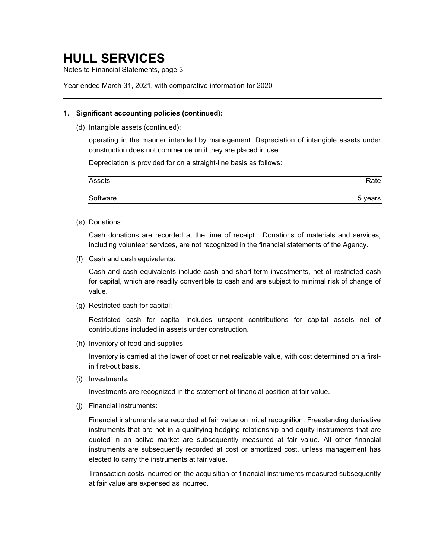Notes to Financial Statements, page 3

Year ended March 31, 2021, with comparative information for 2020

### **1. Significant accounting policies (continued):**

(d) Intangible assets (continued):

operating in the manner intended by management. Depreciation of intangible assets under construction does not commence until they are placed in use.

Depreciation is provided for on a straight-line basis as follows:

| Assets   | Rate    |
|----------|---------|
| Software | 5 years |

(e) Donations:

Cash donations are recorded at the time of receipt. Donations of materials and services, including volunteer services, are not recognized in the financial statements of the Agency.

(f) Cash and cash equivalents:

Cash and cash equivalents include cash and short-term investments, net of restricted cash for capital, which are readily convertible to cash and are subject to minimal risk of change of value.

(g) Restricted cash for capital:

Restricted cash for capital includes unspent contributions for capital assets net of contributions included in assets under construction.

(h) Inventory of food and supplies:

Inventory is carried at the lower of cost or net realizable value, with cost determined on a firstin first-out basis.

(i) Investments:

Investments are recognized in the statement of financial position at fair value.

(j) Financial instruments:

Financial instruments are recorded at fair value on initial recognition. Freestanding derivative instruments that are not in a qualifying hedging relationship and equity instruments that are quoted in an active market are subsequently measured at fair value. All other financial instruments are subsequently recorded at cost or amortized cost, unless management has elected to carry the instruments at fair value.

Transaction costs incurred on the acquisition of financial instruments measured subsequently at fair value are expensed as incurred.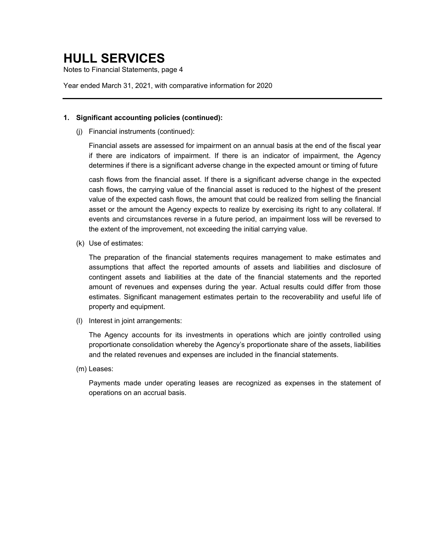Notes to Financial Statements, page 4

Year ended March 31, 2021, with comparative information for 2020

### **1. Significant accounting policies (continued):**

(j) Financial instruments (continued):

Financial assets are assessed for impairment on an annual basis at the end of the fiscal year if there are indicators of impairment. If there is an indicator of impairment, the Agency determines if there is a significant adverse change in the expected amount or timing of future

cash flows from the financial asset. If there is a significant adverse change in the expected cash flows, the carrying value of the financial asset is reduced to the highest of the present value of the expected cash flows, the amount that could be realized from selling the financial asset or the amount the Agency expects to realize by exercising its right to any collateral. If events and circumstances reverse in a future period, an impairment loss will be reversed to the extent of the improvement, not exceeding the initial carrying value.

(k) Use of estimates:

The preparation of the financial statements requires management to make estimates and assumptions that affect the reported amounts of assets and liabilities and disclosure of contingent assets and liabilities at the date of the financial statements and the reported amount of revenues and expenses during the year. Actual results could differ from those estimates. Significant management estimates pertain to the recoverability and useful life of property and equipment.

(l) Interest in joint arrangements:

The Agency accounts for its investments in operations which are jointly controlled using proportionate consolidation whereby the Agency's proportionate share of the assets, liabilities and the related revenues and expenses are included in the financial statements.

(m) Leases:

Payments made under operating leases are recognized as expenses in the statement of operations on an accrual basis.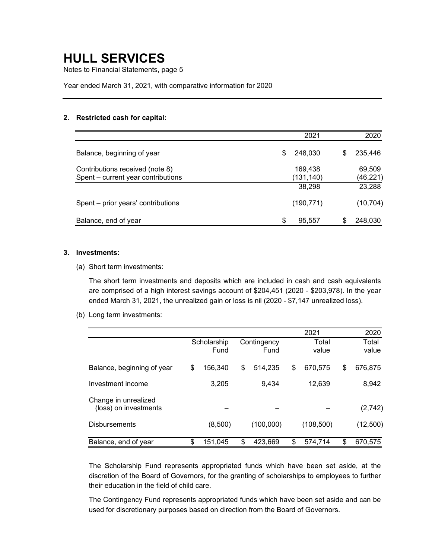Notes to Financial Statements, page 5

Year ended March 31, 2021, with comparative information for 2020

### **2. Restricted cash for capital:**

|                                    |    | 2021       |   | 2020      |
|------------------------------------|----|------------|---|-----------|
| Balance, beginning of year         | S  | 248,030    | S | 235,446   |
| Contributions received (note 8)    |    | 169,438    |   | 69,509    |
| Spent – current year contributions |    | (131,140)  |   | (46,221)  |
|                                    |    | 38,298     |   | 23,288    |
| Spent - prior years' contributions |    | (190, 771) |   | (10, 704) |
| Balance, end of year               | \$ | 95,557     |   | 248,030   |

### **3. Investments:**

(a) Short term investments:

The short term investments and deposits which are included in cash and cash equivalents are comprised of a high interest savings account of \$204,451 (2020 - \$203,978). In the year ended March 31, 2021, the unrealized gain or loss is nil (2020 - \$7,147 unrealized loss).

(b) Long term investments:

|                                               |               |               | 2021          | 2020 |          |
|-----------------------------------------------|---------------|---------------|---------------|------|----------|
|                                               | Scholarship   | Contingency   | Total         |      | Total    |
|                                               | Fund          | Fund          | value         |      | value    |
| Balance, beginning of year                    | \$<br>156,340 | \$<br>514,235 | \$<br>670,575 | \$   | 676,875  |
| Investment income                             | 3,205         | 9,434         | 12,639        |      | 8,942    |
| Change in unrealized<br>(loss) on investments |               |               |               |      | (2,742)  |
| <b>Disbursements</b>                          | (8,500)       | (100,000)     | (108, 500)    |      | (12,500) |
| Balance, end of year                          | \$<br>151,045 | \$<br>423,669 | \$<br>574,714 | \$   | 670,575  |

The Scholarship Fund represents appropriated funds which have been set aside, at the discretion of the Board of Governors, for the granting of scholarships to employees to further their education in the field of child care.

The Contingency Fund represents appropriated funds which have been set aside and can be used for discretionary purposes based on direction from the Board of Governors.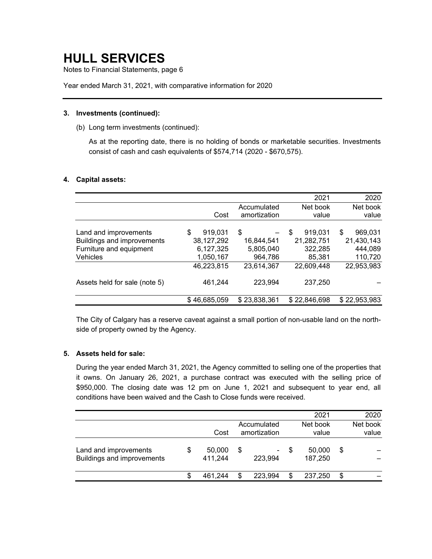Notes to Financial Statements, page 6

Year ended March 31, 2021, with comparative information for 2020

### **3. Investments (continued):**

(b) Long term investments (continued):

As at the reporting date, there is no holding of bonds or marketable securities. Investments consist of cash and cash equivalents of \$574,714 (2020 - \$670,575).

### **4. Capital assets:**

|                               |               |              | 2021          | 2020          |
|-------------------------------|---------------|--------------|---------------|---------------|
|                               |               | Accumulated  | Net book      | Net book      |
|                               | Cost          | amortization | value         | value         |
|                               |               |              |               |               |
| Land and improvements         | 919,031<br>\$ | \$           | 919,031<br>\$ | \$<br>969,031 |
| Buildings and improvements    | 38, 127, 292  | 16,844,541   | 21,282,751    | 21,430,143    |
| Furniture and equipment       | 6,127,325     | 5,805,040    | 322,285       | 444,089       |
| Vehicles                      | 1,050,167     | 964,786      | 85,381        | 110,720       |
|                               | 46,223,815    | 23,614,367   | 22,609,448    | 22,953,983    |
| Assets held for sale (note 5) | 461,244       | 223,994      | 237,250       |               |
|                               | \$46,685,059  | \$23,838,361 | \$22,846,698  | \$22,953,983  |

The City of Calgary has a reserve caveat against a small portion of non-usable land on the northside of property owned by the Agency.

### **5. Assets held for sale:**

During the year ended March 31, 2021, the Agency committed to selling one of the properties that it owns. On January 26, 2021, a purchase contract was executed with the selling price of \$950,000. The closing date was 12 pm on June 1, 2021 and subsequent to year end, all conditions have been waived and the Cash to Close funds were received.

|                                                     |   |                   |                             |                                     | 2021                    | 2020              |
|-----------------------------------------------------|---|-------------------|-----------------------------|-------------------------------------|-------------------------|-------------------|
|                                                     |   | Cost              | Accumulated<br>amortization |                                     | Net book<br>value       | Net book<br>value |
| Land and improvements<br>Buildings and improvements | S | 50,000<br>411,244 | \$                          | $\overline{\phantom{a}}$<br>223,994 | \$<br>50,000<br>187,250 | \$                |
|                                                     | S | 461.244           | \$                          | 223,994                             | \$<br>237.250           | \$                |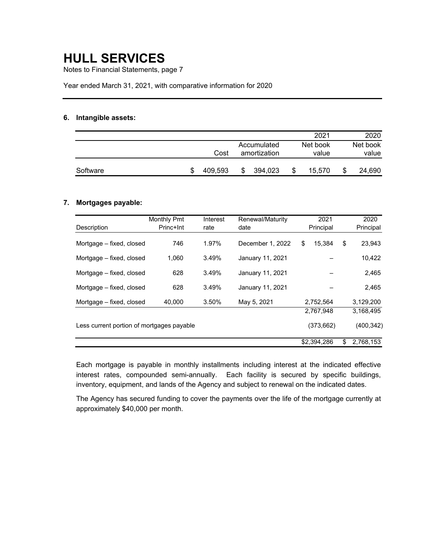Notes to Financial Statements, page 7

Year ended March 31, 2021, with comparative information for 2020

### **6. Intangible assets:**

|          |         |   |                             |  | 2021              |   | 2020              |
|----------|---------|---|-----------------------------|--|-------------------|---|-------------------|
|          | Cost    |   | Accumulated<br>amortization |  | Net book<br>value |   | Net book<br>value |
| Software | 409.593 | S | 394,023                     |  | 15.570            | S | 24,690            |

### **7. Mortgages payable:**

|                                           | <b>Monthly Pmt</b> | Interest | Renewal/Maturity | 2021         | 2020            |
|-------------------------------------------|--------------------|----------|------------------|--------------|-----------------|
| Description                               | Princ+Int          | rate     | date             | Principal    | Principal       |
| Mortgage - fixed, closed                  | 746                | 1.97%    | December 1, 2022 | 15.384<br>\$ | \$<br>23,943    |
| Mortgage – fixed, closed                  | 1.060              | 3.49%    | January 11, 2021 |              | 10,422          |
| Mortgage - fixed, closed                  | 628                | 3.49%    | January 11, 2021 |              | 2,465           |
| Mortgage – fixed, closed                  | 628                | 3.49%    | January 11, 2021 |              | 2,465           |
| Mortgage - fixed, closed                  | 40,000             | 3.50%    | May 5, 2021      | 2,752,564    | 3,129,200       |
|                                           |                    |          |                  | 2,767,948    | 3.168.495       |
| Less current portion of mortgages payable |                    |          |                  | (373,662)    | (400, 342)      |
|                                           |                    |          |                  | \$2,394,286  | 2,768,153<br>\$ |

Each mortgage is payable in monthly installments including interest at the indicated effective interest rates, compounded semi-annually. Each facility is secured by specific buildings, inventory, equipment, and lands of the Agency and subject to renewal on the indicated dates.

The Agency has secured funding to cover the payments over the life of the mortgage currently at approximately \$40,000 per month.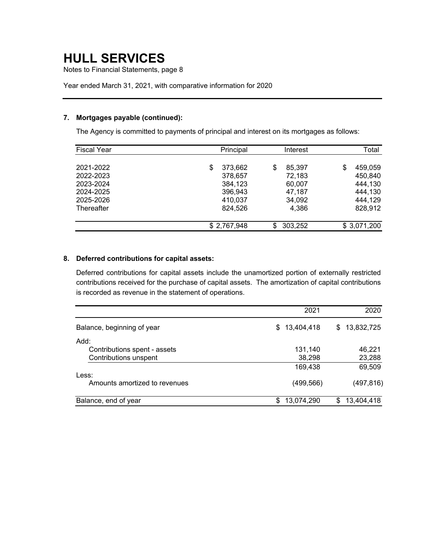Notes to Financial Statements, page 8

Year ended March 31, 2021, with comparative information for 2020

### **7. Mortgages payable (continued):**

The Agency is committed to payments of principal and interest on its mortgages as follows:

| <b>Fiscal Year</b> |    | Principal   |     | Interest | Total |             |  |
|--------------------|----|-------------|-----|----------|-------|-------------|--|
| 2021-2022          | \$ | 373,662     | \$  | 85,397   | \$    | 459,059     |  |
| 2022-2023          |    | 378,657     |     | 72,183   |       | 450,840     |  |
| 2023-2024          |    | 384,123     |     | 60,007   |       | 444,130     |  |
| 2024-2025          |    | 396,943     |     | 47,187   |       | 444,130     |  |
| 2025-2026          |    | 410,037     |     | 34,092   |       | 444,129     |  |
| Thereafter         |    | 824.526     |     | 4.386    |       | 828,912     |  |
|                    |    | \$2,767,948 | \$. | 303,252  |       | \$3,071,200 |  |

### **8. Deferred contributions for capital assets:**

Deferred contributions for capital assets include the unamortized portion of externally restricted contributions received for the purchase of capital assets. The amortization of capital contributions is recorded as revenue in the statement of operations.

|                               | 2021              | 2020              |
|-------------------------------|-------------------|-------------------|
| Balance, beginning of year    | 13,404,418<br>SS. | 13,832,725<br>\$. |
| Add:                          |                   |                   |
| Contributions spent - assets  | 131,140           | 46,221            |
| Contributions unspent         | 38,298            | 23,288            |
|                               | 169,438           | 69,509            |
| Less:                         |                   |                   |
| Amounts amortized to revenues | (499,566)         | (497, 816)        |
| Balance, end of year          | 13,074,290        | 13,404,418<br>\$  |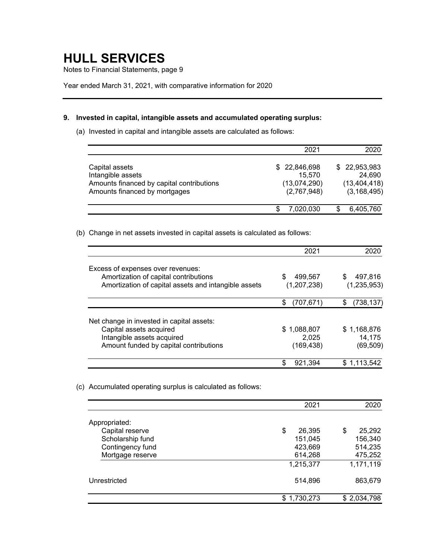Notes to Financial Statements, page 9

Year ended March 31, 2021, with comparative information for 2020

### **9. Invested in capital, intangible assets and accumulated operating surplus:**

(a) Invested in capital and intangible assets are calculated as follows:

|                                                                                                                   | 2021                                                  | 2020                                                      |
|-------------------------------------------------------------------------------------------------------------------|-------------------------------------------------------|-----------------------------------------------------------|
| Capital assets<br>Intangible assets<br>Amounts financed by capital contributions<br>Amounts financed by mortgages | \$22,846,698<br>15,570<br>(13,074,290)<br>(2,767,948) | \$22,953,983<br>24,690<br>(13, 404, 418)<br>(3, 168, 495) |
|                                                                                                                   | 7,020,030                                             | 6,405,760                                                 |

(b) Change in net assets invested in capital assets is calculated as follows:

|                                                      | 2021            |                  |
|------------------------------------------------------|-----------------|------------------|
| Excess of expenses over revenues:                    |                 |                  |
| Amortization of capital contributions                | \$<br>499,567   | 497.816          |
| Amortization of capital assets and intangible assets | (1, 207, 238)   | (1, 235, 953)    |
|                                                      | S<br>(707, 671) | \$<br>(738, 137) |
| Net change in invested in capital assets:            |                 |                  |
| Capital assets acquired                              | \$1,088,807     | \$1,168,876      |
| Intangible assets acquired                           | 2.025           | 14.175           |
| Amount funded by capital contributions               | (169,438)       | (69, 509)        |
|                                                      | S<br>921,394    | 1.113.542        |

<sup>(</sup>c) Accumulated operating surplus is calculated as follows:

|                  | 2021         | 2020         |
|------------------|--------------|--------------|
| Appropriated:    |              |              |
| Capital reserve  | \$<br>26,395 | 25,292<br>\$ |
| Scholarship fund | 151,045      | 156,340      |
| Contingency fund | 423,669      | 514,235      |
| Mortgage reserve | 614,268      | 475,252      |
|                  | 1,215,377    | 1,171,119    |
| Unrestricted     | 514,896      | 863,679      |
|                  | \$1,730,273  | \$2,034,798  |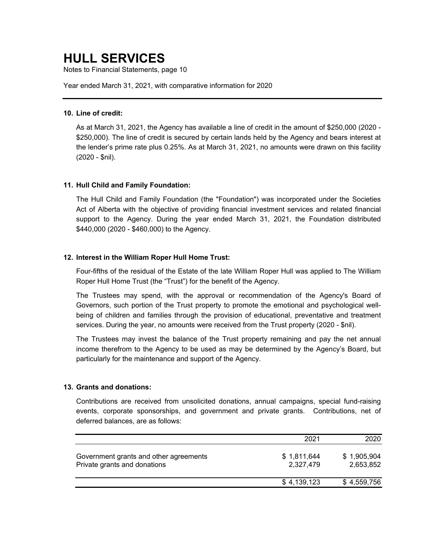Notes to Financial Statements, page 10

Year ended March 31, 2021, with comparative information for 2020

### **10. Line of credit:**

As at March 31, 2021, the Agency has available a line of credit in the amount of \$250,000 (2020 - \$250,000). The line of credit is secured by certain lands held by the Agency and bears interest at the lender's prime rate plus 0.25%. As at March 31, 2021, no amounts were drawn on this facility (2020 - \$nil).

### **11. Hull Child and Family Foundation:**

The Hull Child and Family Foundation (the "Foundation") was incorporated under the Societies Act of Alberta with the objective of providing financial investment services and related financial support to the Agency. During the year ended March 31, 2021, the Foundation distributed \$440,000 (2020 - \$460,000) to the Agency.

### **12. Interest in the William Roper Hull Home Trust:**

Four-fifths of the residual of the Estate of the late William Roper Hull was applied to The William Roper Hull Home Trust (the "Trust") for the benefit of the Agency.

The Trustees may spend, with the approval or recommendation of the Agency's Board of Governors, such portion of the Trust property to promote the emotional and psychological wellbeing of children and families through the provision of educational, preventative and treatment services. During the year, no amounts were received from the Trust property (2020 - \$nil).

The Trustees may invest the balance of the Trust property remaining and pay the net annual income therefrom to the Agency to be used as may be determined by the Agency's Board, but particularly for the maintenance and support of the Agency.

### **13. Grants and donations:**

Contributions are received from unsolicited donations, annual campaigns, special fund-raising events, corporate sponsorships, and government and private grants. Contributions, net of deferred balances, are as follows:

|                                                                        | 2021                     | 2020                     |
|------------------------------------------------------------------------|--------------------------|--------------------------|
| Government grants and other agreements<br>Private grants and donations | \$1,811,644<br>2,327,479 | \$1,905,904<br>2,653,852 |
|                                                                        | \$4,139,123              | \$4,559,756              |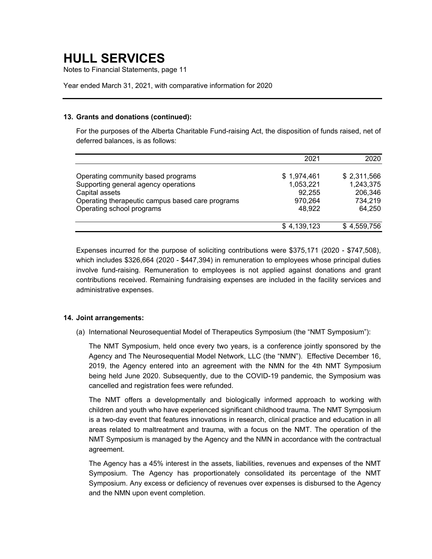Notes to Financial Statements, page 11

Year ended March 31, 2021, with comparative information for 2020

### **13. Grants and donations (continued):**

For the purposes of the Alberta Charitable Fund-raising Act, the disposition of funds raised, net of deferred balances, is as follows:

|                                                  | 2021        | 2020        |
|--------------------------------------------------|-------------|-------------|
|                                                  |             |             |
| Operating community based programs               | \$1,974,461 | \$2,311,566 |
| Supporting general agency operations             | 1,053,221   | 1,243,375   |
| Capital assets                                   | 92,255      | 206,346     |
| Operating therapeutic campus based care programs | 970,264     | 734,219     |
| Operating school programs                        | 48,922      | 64,250      |
|                                                  | \$4,139,123 | \$4,559,756 |

Expenses incurred for the purpose of soliciting contributions were \$375,171 (2020 - \$747,508), which includes \$326,664 (2020 - \$447,394) in remuneration to employees whose principal duties involve fund-raising. Remuneration to employees is not applied against donations and grant contributions received. Remaining fundraising expenses are included in the facility services and administrative expenses.

### **14. Joint arrangements:**

(a) International Neurosequential Model of Therapeutics Symposium (the "NMT Symposium"):

The NMT Symposium, held once every two years, is a conference jointly sponsored by the Agency and The Neurosequential Model Network, LLC (the "NMN"). Effective December 16, 2019, the Agency entered into an agreement with the NMN for the 4th NMT Symposium being held June 2020. Subsequently, due to the COVID-19 pandemic, the Symposium was cancelled and registration fees were refunded.

The NMT offers a developmentally and biologically informed approach to working with children and youth who have experienced significant childhood trauma. The NMT Symposium is a two-day event that features innovations in research, clinical practice and education in all areas related to maltreatment and trauma, with a focus on the NMT. The operation of the NMT Symposium is managed by the Agency and the NMN in accordance with the contractual agreement.

The Agency has a 45% interest in the assets, liabilities, revenues and expenses of the NMT Symposium. The Agency has proportionately consolidated its percentage of the NMT Symposium. Any excess or deficiency of revenues over expenses is disbursed to the Agency and the NMN upon event completion.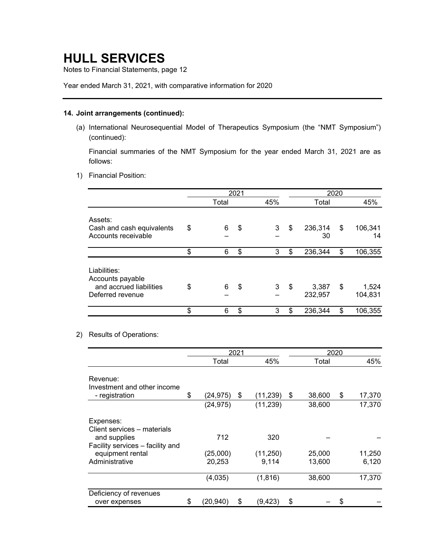Notes to Financial Statements, page 12

Year ended March 31, 2021, with comparative information for 2020

### **14. Joint arrangements (continued):**

(a) International Neurosequential Model of Therapeutics Symposium (the "NMT Symposium") (continued):

Financial summaries of the NMT Symposium for the year ended March 31, 2021 are as follows:

1) Financial Position:

|                                                                                 | 2021 |       |    | 2020 |                        |    |                  |
|---------------------------------------------------------------------------------|------|-------|----|------|------------------------|----|------------------|
|                                                                                 |      | Total |    | 45%  | Total                  |    | 45%              |
| Assets:<br>Cash and cash equivalents<br>Accounts receivable                     | \$   | 6     | \$ | 3    | \$<br>236,314<br>30    | \$ | 106,341<br>14    |
|                                                                                 | \$   | 6     | \$ | 3    | \$<br>236,344          | \$ | 106,355          |
| Liabilities:<br>Accounts payable<br>and accrued liabilities<br>Deferred revenue | \$   | 6     | \$ | 3    | \$<br>3,387<br>232,957 | \$ | 1,524<br>104,831 |
|                                                                                 | \$   | 6     | \$ | 3    | \$<br>236,344          | \$ | 106,355          |

### 2) Results of Operations:

|                                  | 2021            |    |           |              | 2020 |        |
|----------------------------------|-----------------|----|-----------|--------------|------|--------|
|                                  | Total           |    | 45%       | Total        |      | 45%    |
| Revenue:                         |                 |    |           |              |      |        |
| Investment and other income      |                 |    |           |              |      |        |
| - registration                   | \$<br>(24, 975) | \$ | (11, 239) | \$<br>38,600 | \$   | 17,370 |
|                                  | (24, 975)       |    | (11, 239) | 38,600       |      | 17,370 |
| Expenses:                        |                 |    |           |              |      |        |
| Client services – materials      |                 |    |           |              |      |        |
| and supplies                     | 712             |    | 320       |              |      |        |
| Facility services - facility and |                 |    |           |              |      |        |
| equipment rental                 | (25,000)        |    | (11, 250) | 25,000       |      | 11,250 |
| Administrative                   | 20,253          |    | 9,114     | 13,600       |      | 6,120  |
|                                  | (4,035)         |    | (1, 816)  | 38,600       |      | 17,370 |
| Deficiency of revenues           |                 |    |           |              |      |        |
| over expenses                    | \$<br>(20, 940) | \$ | (9, 423)  | \$           | \$   |        |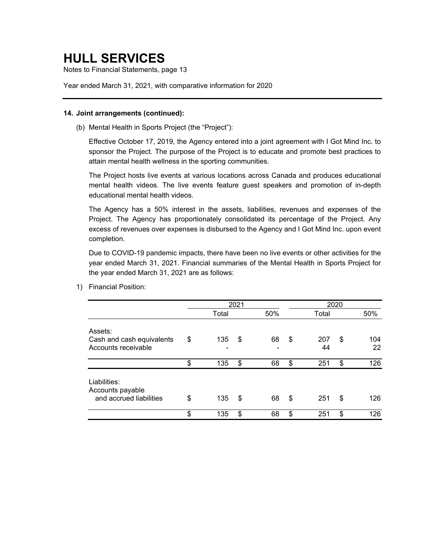Notes to Financial Statements, page 13

Year ended March 31, 2021, with comparative information for 2020

#### **14. Joint arrangements (continued):**

(b) Mental Health in Sports Project (the "Project"):

Effective October 17, 2019, the Agency entered into a joint agreement with I Got Mind Inc. to sponsor the Project. The purpose of the Project is to educate and promote best practices to attain mental health wellness in the sporting communities.

The Project hosts live events at various locations across Canada and produces educational mental health videos. The live events feature guest speakers and promotion of in-depth educational mental health videos.

The Agency has a 50% interest in the assets, liabilities, revenues and expenses of the Project. The Agency has proportionately consolidated its percentage of the Project. Any excess of revenues over expenses is disbursed to the Agency and I Got Mind Inc. upon event completion.

Due to COVID-19 pandemic impacts, there have been no live events or other activities for the year ended March 31, 2021. Financial summaries of the Mental Health in Sports Project for the year ended March 31, 2021 are as follows:

|                                                             | 2021 |       |    | 2020 |                 |    |           |
|-------------------------------------------------------------|------|-------|----|------|-----------------|----|-----------|
|                                                             |      | Total |    | 50%  | Total           |    | 50%       |
| Assets:<br>Cash and cash equivalents<br>Accounts receivable | \$   | 135   | \$ | 68   | \$<br>207<br>44 | \$ | 104<br>22 |
|                                                             | \$   | 135   | \$ | 68   | \$<br>251       | \$ | 126       |
| Liabilities:<br>Accounts payable<br>and accrued liabilities | \$   | 135   | \$ | 68   | \$<br>251       | \$ | 126       |
|                                                             | \$   | 135   | \$ | 68   | \$<br>251       | \$ | 126       |

1) Financial Position: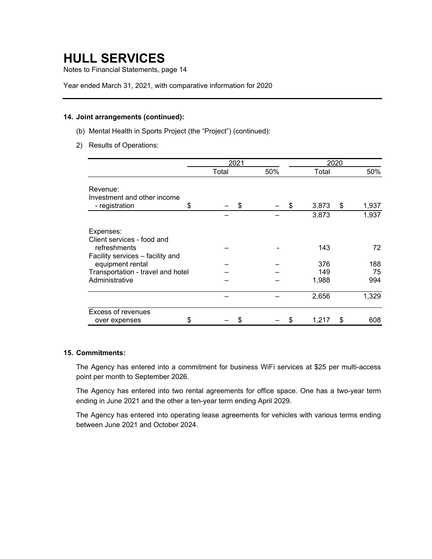Notes to Financial Statements, page 14

Year ended March 31, 2021, with comparative information for 2020

### **14. Joint arrangements (continued):**

- (b) Mental Health in Sports Project (the "Project") (continued):
- 2) Results of Operations:

|                                                                                             |    | 2021  |     |    | 2020  |    |       |
|---------------------------------------------------------------------------------------------|----|-------|-----|----|-------|----|-------|
|                                                                                             |    | Total | 50% |    | Total |    | 50%   |
| Revenue:<br>Investment and other income<br>- registration                                   | \$ | \$    |     | \$ | 3,873 | \$ | 1,937 |
|                                                                                             |    |       |     |    | 3,873 |    | 1,937 |
| Expenses:<br>Client services - food and<br>refreshments<br>Facility services - facility and |    |       |     |    | 143   |    | 72    |
| equipment rental                                                                            |    |       |     |    | 376   |    | 188   |
| Transportation - travel and hotel                                                           |    |       |     |    | 149   |    | 75    |
| Administrative                                                                              |    |       |     |    | 1,988 |    | 994   |
|                                                                                             |    |       |     |    | 2,656 |    | 1,329 |
| <b>Excess of revenues</b><br>over expenses                                                  | S  |       |     | S  | 1,217 | \$ | 608   |

### **15. Commitments:**

The Agency has entered into a commitment for business WiFi services at \$25 per multi-access point per month to September 2026.

The Agency has entered into two rental agreements for office space. One has a two-year term ending in June 2021 and the other a ten-year term ending April 2029.

The Agency has entered into operating lease agreements for vehicles with various terms ending between June 2021 and October 2024.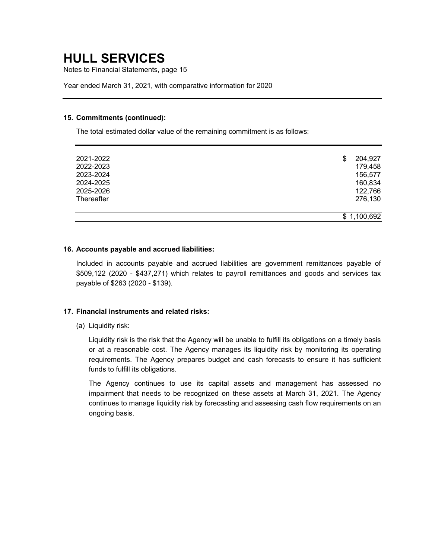Notes to Financial Statements, page 15

Year ended March 31, 2021, with comparative information for 2020

#### **15. Commitments (continued):**

The total estimated dollar value of the remaining commitment is as follows:

| 2021-2022  | 204,927<br>\$ |
|------------|---------------|
| 2022-2023  | 179,458       |
| 2023-2024  | 156,577       |
| 2024-2025  | 160,834       |
| 2025-2026  | 122,766       |
| Thereafter | 276,130       |
|            |               |
|            | \$1,100,692   |

### **16. Accounts payable and accrued liabilities:**

Included in accounts payable and accrued liabilities are government remittances payable of \$509,122 (2020 - \$437,271) which relates to payroll remittances and goods and services tax payable of \$263 (2020 - \$139).

### **17. Financial instruments and related risks:**

(a) Liquidity risk:

Liquidity risk is the risk that the Agency will be unable to fulfill its obligations on a timely basis or at a reasonable cost. The Agency manages its liquidity risk by monitoring its operating requirements. The Agency prepares budget and cash forecasts to ensure it has sufficient funds to fulfill its obligations.

The Agency continues to use its capital assets and management has assessed no impairment that needs to be recognized on these assets at March 31, 2021. The Agency continues to manage liquidity risk by forecasting and assessing cash flow requirements on an ongoing basis.